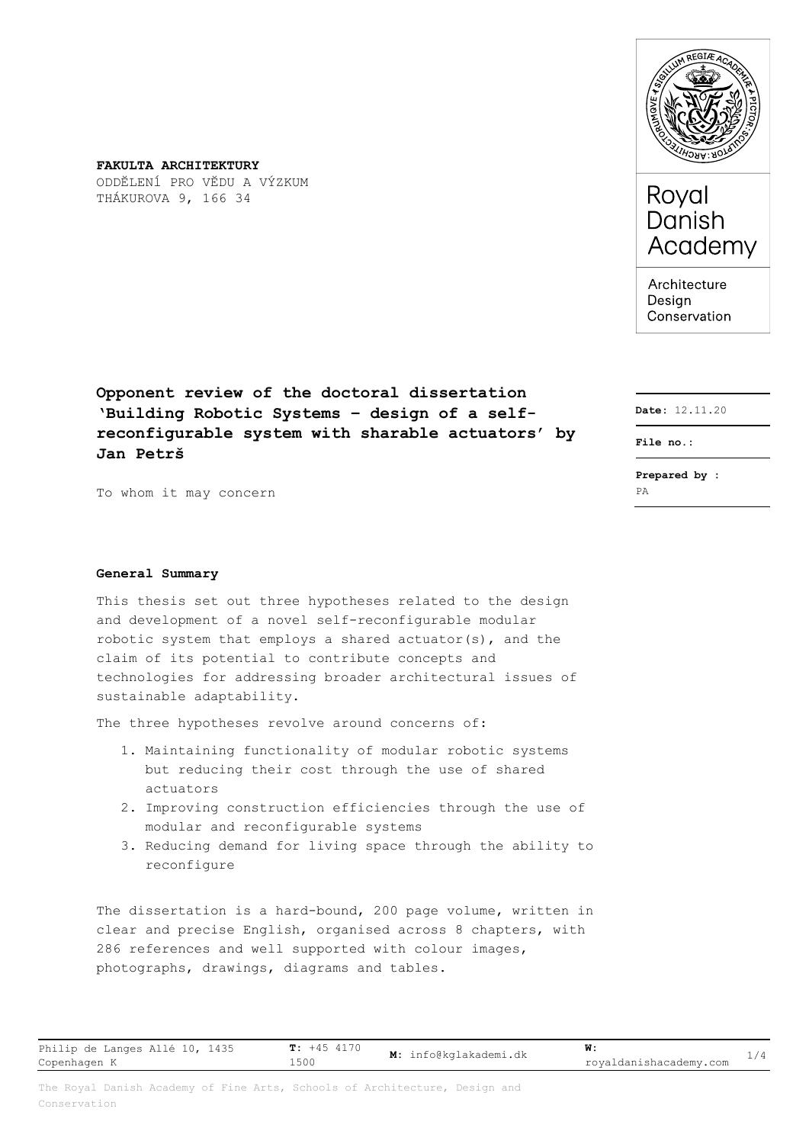

Architecture Design Conservation

**Date:** 12.11.20

**File no.:**

**Prepared by :** PA

**FAKULTA ARCHITEKTURY** ODDĔLENĺ PRO VĔDU A VÝZKUM THÁKUROVA 9, 166 34

**Opponent review of the doctoral dissertation 'Building Robotic Systems – design of a selfreconfigurable system with sharable actuators' by Jan Petrš**

To whom it may concern

## **General Summary**

This thesis set out three hypotheses related to the design and development of a novel self-reconfigurable modular robotic system that employs a shared actuator(s), and the claim of its potential to contribute concepts and technologies for addressing broader architectural issues of sustainable adaptability.

The three hypotheses revolve around concerns of:

- 1. Maintaining functionality of modular robotic systems but reducing their cost through the use of shared actuators
- 2. Improving construction efficiencies through the use of modular and reconfigurable systems
- 3. Reducing demand for living space through the ability to reconfigure

The dissertation is a hard-bound, 200 page volume, written in clear and precise English, organised across 8 chapters, with 286 references and well supported with colour images, photographs, drawings, diagrams and tables.

Philip de Langes Allé 10, 1435 Copenhagen K **T:** +45 4170 1500 **M:** info@kglakademi.dk **W:** royaldanishacademy.com 1/4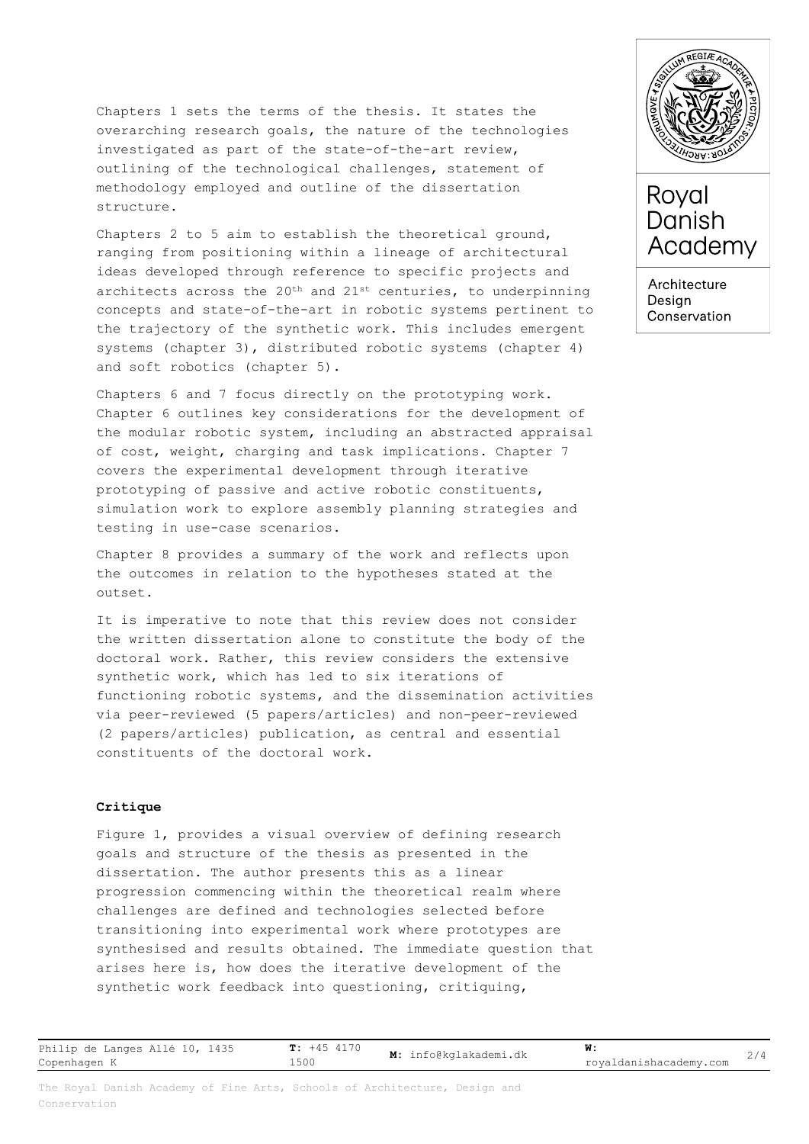Chapters 1 sets the terms of the thesis. It states the overarching research goals, the nature of the technologies investigated as part of the state-of-the-art review, outlining of the technological challenges, statement of methodology employed and outline of the dissertation structure.

Chapters 2 to 5 aim to establish the theoretical ground, ranging from positioning within a lineage of architectural ideas developed through reference to specific projects and architects across the 20th and 21st centuries, to underpinning concepts and state-of-the-art in robotic systems pertinent to the trajectory of the synthetic work. This includes emergent systems (chapter 3), distributed robotic systems (chapter 4) and soft robotics (chapter 5).

Chapters 6 and 7 focus directly on the prototyping work. Chapter 6 outlines key considerations for the development of the modular robotic system, including an abstracted appraisal of cost, weight, charging and task implications. Chapter 7 covers the experimental development through iterative prototyping of passive and active robotic constituents, simulation work to explore assembly planning strategies and testing in use-case scenarios.

Chapter 8 provides a summary of the work and reflects upon the outcomes in relation to the hypotheses stated at the outset.

It is imperative to note that this review does not consider the written dissertation alone to constitute the body of the doctoral work. Rather, this review considers the extensive synthetic work, which has led to six iterations of functioning robotic systems, and the dissemination activities via peer-reviewed (5 papers/articles) and non-peer-reviewed (2 papers/articles) publication, as central and essential constituents of the doctoral work.

## **Critique**

Figure 1, provides a visual overview of defining research goals and structure of the thesis as presented in the dissertation. The author presents this as a linear progression commencing within the theoretical realm where challenges are defined and technologies selected before transitioning into experimental work where prototypes are synthesised and results obtained. The immediate question that arises here is, how does the iterative development of the synthetic work feedback into questioning, critiquing,







Architecture Desian Conservation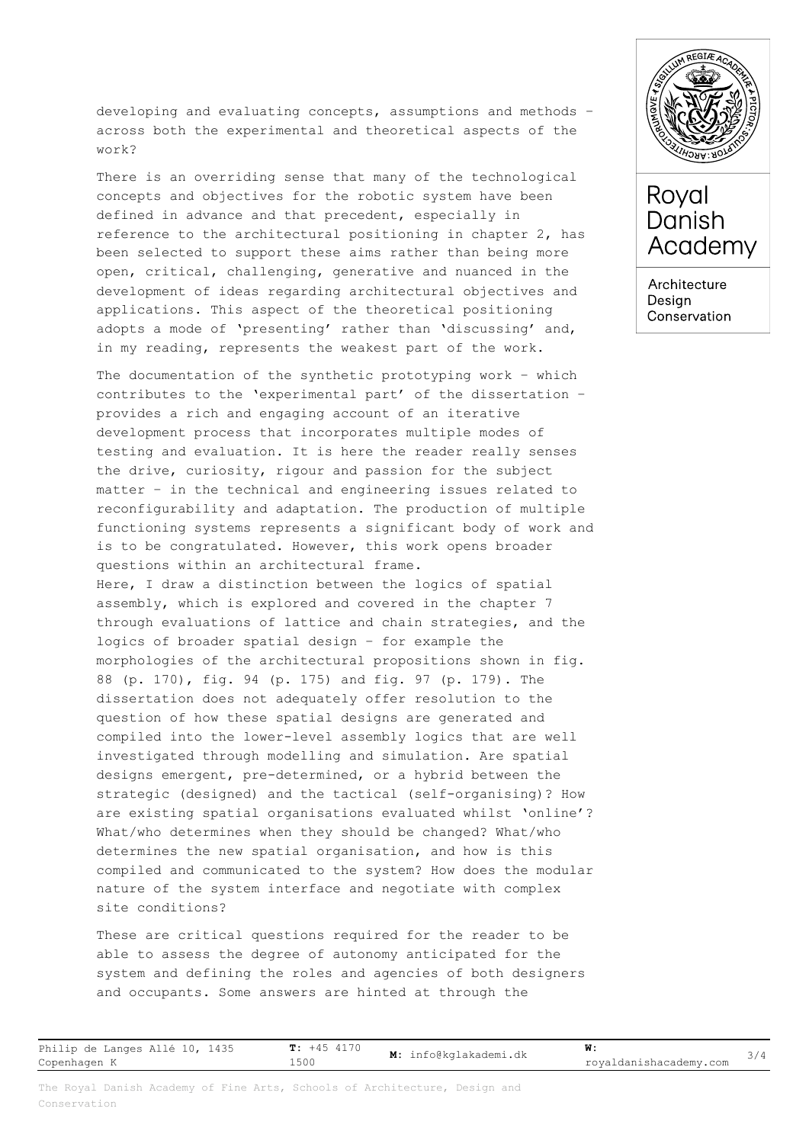developing and evaluating concepts, assumptions and methods – across both the experimental and theoretical aspects of the work?

There is an overriding sense that many of the technological concepts and objectives for the robotic system have been defined in advance and that precedent, especially in reference to the architectural positioning in chapter 2, has been selected to support these aims rather than being more open, critical, challenging, generative and nuanced in the development of ideas regarding architectural objectives and applications. This aspect of the theoretical positioning adopts a mode of 'presenting' rather than 'discussing' and, in my reading, represents the weakest part of the work.

The documentation of the synthetic prototyping work – which contributes to the 'experimental part' of the dissertation – provides a rich and engaging account of an iterative development process that incorporates multiple modes of testing and evaluation. It is here the reader really senses the drive, curiosity, rigour and passion for the subject matter – in the technical and engineering issues related to reconfigurability and adaptation. The production of multiple functioning systems represents a significant body of work and is to be congratulated. However, this work opens broader questions within an architectural frame. Here, I draw a distinction between the logics of spatial assembly, which is explored and covered in the chapter 7 through evaluations of lattice and chain strategies, and the logics of broader spatial design – for example the morphologies of the architectural propositions shown in fig. 88 (p. 170), fig. 94 (p. 175) and fig. 97 (p. 179). The dissertation does not adequately offer resolution to the question of how these spatial designs are generated and compiled into the lower-level assembly logics that are well investigated through modelling and simulation. Are spatial designs emergent, pre-determined, or a hybrid between the strategic (designed) and the tactical (self-organising)? How are existing spatial organisations evaluated whilst 'online'? What/who determines when they should be changed? What/who determines the new spatial organisation, and how is this compiled and communicated to the system? How does the modular nature of the system interface and negotiate with complex site conditions?

These are critical questions required for the reader to be able to assess the degree of autonomy anticipated for the system and defining the roles and agencies of both designers and occupants. Some answers are hinted at through the

| SOLUM REGILE ACADEMY<br>ē<br>ξ<br>RESILVERED AT<br>C |
|------------------------------------------------------|
|                                                      |



Architecture Design Conservation

| Philip de Langes Allé 10, 1435 | +45 4170<br>. . | info@kglakademi.dk<br><b>M:</b> |                        |  |
|--------------------------------|-----------------|---------------------------------|------------------------|--|
| Copenhagen K                   | 500 ـ           |                                 | royaldanishacademy.com |  |